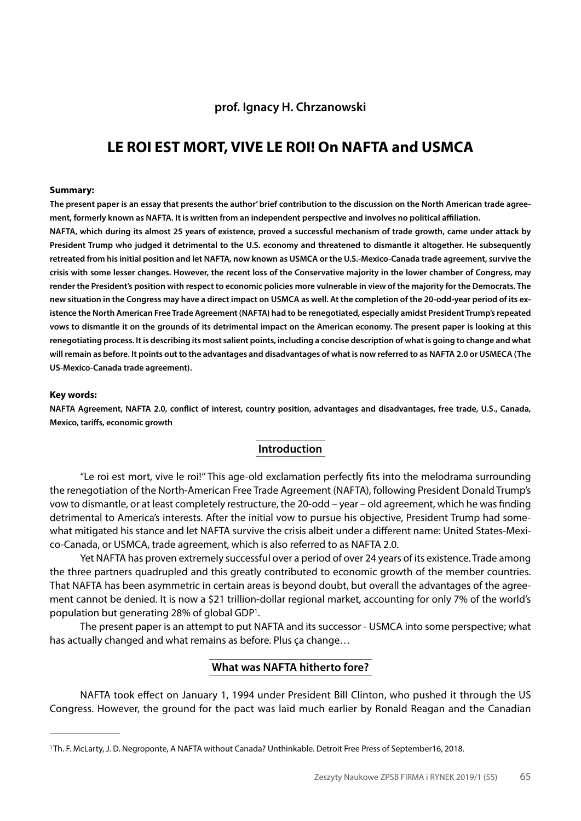## **prof. Ignacy H. Chrzanowski**

## **LE ROI EST MORT, VIVE LE ROI! On NAFTA and USMCA**

#### **Summary:**

**The present paper is an essay that presents the author' brief contribution to the discussion on the North American trade agreement, formerly known as NAFTA. It is written from an independent perspective and involves no political affiliation.**

**NAFTA, which during its almost 25 years of existence, proved a successful mechanism of trade growth, came under attack by President Trump who judged it detrimental to the U.S. economy and threatened to dismantle it altogether. He subsequently retreated from his initial position and let NAFTA, now known as USMCA or the U.S.-Mexico-Canada trade agreement, survive the crisis with some lesser changes. However, the recent loss of the Conservative majority in the lower chamber of Congress, may render the President's position with respect to economic policies more vulnerable in view of the majority for the Democrats. The new situation in the Congress may have a direct impact on USMCA as well. At the completion of the 20-odd-year period of its existence the North American Free Trade Agreement (NAFTA) had to be renegotiated, especially amidst President Trump's repeated vows to dismantle it on the grounds of its detrimental impact on the American economy. The present paper is looking at this renegotiating process. It is describing its most salient points, including a concise description of what is going to change and what will remain as before. It points out to the advantages and disadvantages of what is now referred to as NAFTA 2.0 or USMECA (The US-Mexico-Canada trade agreement).**

#### **Key words:**

**NAFTA Agreement, NAFTA 2.0, conflict of interest, country position, advantages and disadvantages, free trade, U.S., Canada, Mexico, tariffs, economic growth**

## **Introduction**

"Le roi est mort, vive le roi!'' This age-old exclamation perfectly fits into the melodrama surrounding the renegotiation of the North-American Free Trade Agreement (NAFTA), following President Donald Trump's vow to dismantle, or at least completely restructure, the 20-odd – year – old agreement, which he was finding detrimental to America's interests. After the initial vow to pursue his objective, President Trump had somewhat mitigated his stance and let NAFTA survive the crisis albeit under a different name: United States-Mexico-Canada, or USMCA, trade agreement, which is also referred to as NAFTA 2.0.

Yet NAFTA has proven extremely successful over a period of over 24 years of its existence. Trade among the three partners quadrupled and this greatly contributed to economic growth of the member countries. That NAFTA has been asymmetric in certain areas is beyond doubt, but overall the advantages of the agreement cannot be denied. It is now a \$21 trillion-dollar regional market, accounting for only 7% of the world's population but generating 28% of global GDP<sup>1</sup>.

The present paper is an attempt to put NAFTA and its successor - USMCA into some perspective; what has actually changed and what remains as before. Plus ça change…

## **What was NAFTA hitherto fore?**

NAFTA took effect on January 1, 1994 under President Bill Clinton, who pushed it through the US Congress. However, the ground for the pact was laid much earlier by Ronald Reagan and the Canadian

<sup>1</sup> Th. F. McLarty, J. D. Negroponte, A NAFTA without Canada? Unthinkable. Detroit Free Press of September16, 2018.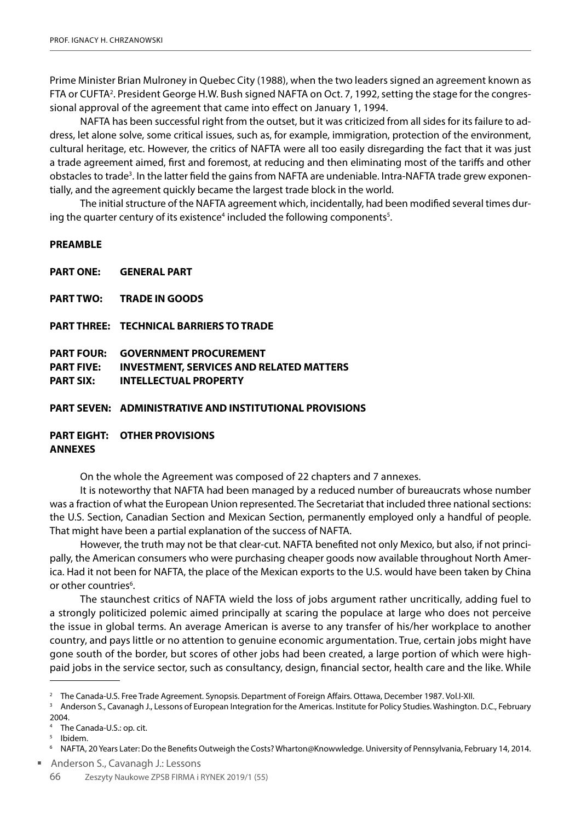Prime Minister Brian Mulroney in Quebec City (1988), when the two leaders signed an agreement known as FTA or CUFTA<sup>2</sup>. President George H.W. Bush signed NAFTA on Oct. 7, 1992, setting the stage for the congressional approval of the agreement that came into effect on January 1, 1994.

NAFTA has been successful right from the outset, but it was criticized from all sides for its failure to address, let alone solve, some critical issues, such as, for example, immigration, protection of the environment, cultural heritage, etc. However, the critics of NAFTA were all too easily disregarding the fact that it was just a trade agreement aimed, first and foremost, at reducing and then eliminating most of the tariffs and other obstacles to trade<sup>3</sup>. In the latter field the gains from NAFTA are undeniable. Intra-NAFTA trade grew exponentially, and the agreement quickly became the largest trade block in the world.

The initial structure of the NAFTA agreement which, incidentally, had been modified several times during the quarter century of its existence<sup>4</sup> included the following components<sup>5</sup>.

## **PREAMBLE**

**PART ONE: GENERAL PART** 

**PART TWO: TRADE IN GOODS** 

**PART THREE: TECHNICAL BARRIERS TO TRADE** 

**PART FOUR: GOVERNMENT PROCUREMENT PART FIVE: INVESTMENT, SERVICES AND RELATED MATTERS PART SIX: INTELLECTUAL PROPERTY**

**PART SEVEN: ADMINISTRATIVE AND INSTITUTIONAL PROVISIONS** 

## **PART EIGHT: OTHER PROVISIONS ANNEXES**

On the whole the Agreement was composed of 22 chapters and 7 annexes.

It is noteworthy that NAFTA had been managed by a reduced number of bureaucrats whose number was a fraction of what the European Union represented. The Secretariat that included three national sections: the U.S. Section, Canadian Section and Mexican Section, permanently employed only a handful of people. That might have been a partial explanation of the success of NAFTA.

However, the truth may not be that clear-cut. NAFTA benefited not only Mexico, but also, if not principally, the American consumers who were purchasing cheaper goods now available throughout North America. Had it not been for NAFTA, the place of the Mexican exports to the U.S. would have been taken by China or other countries<sup>6</sup>.

The staunchest critics of NAFTA wield the loss of jobs argument rather uncritically, adding fuel to a strongly politicized polemic aimed principally at scaring the populace at large who does not perceive the issue in global terms. An average American is averse to any transfer of his/her workplace to another country, and pays little or no attention to genuine economic argumentation. True, certain jobs might have gone south of the border, but scores of other jobs had been created, a large portion of which were highpaid jobs in the service sector, such as consultancy, design, financial sector, health care and the like. While

Anderson S., Cavanagh J.: Lessons

<sup>&</sup>lt;sup>2</sup> The Canada-U.S. Free Trade Agreement. Synopsis. Department of Foreign Affairs. Ottawa, December 1987. Vol.I-XII.

<sup>3</sup> Anderson S., Cavanagh J., Lessons of European Integration for the Americas. Institute for Policy Studies. Washington. D.C., February 2004.

The Canada-U.S.: op. cit.

<sup>5</sup> Ibidem.

<sup>6</sup> NAFTA, 20 Years Later: Do the Benefits Outweigh the Costs? Wharton@Knowwledge. University of Pennsylvania, February 14, 2014.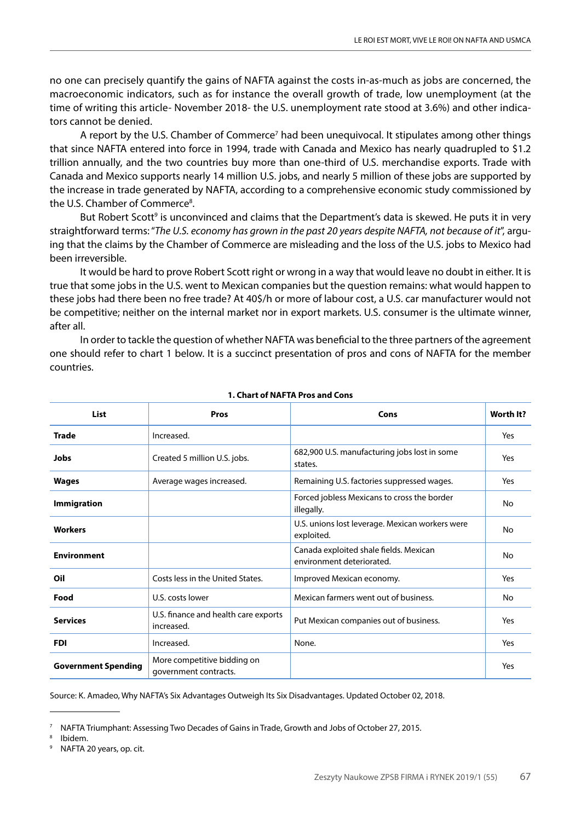no one can precisely quantify the gains of NAFTA against the costs in-as-much as jobs are concerned, the macroeconomic indicators, such as for instance the overall growth of trade, low unemployment (at the time of writing this article- November 2018- the U.S. unemployment rate stood at 3.6%) and other indicators cannot be denied.

A report by the U.S. Chamber of Commerce<sup>7</sup> had been unequivocal. It stipulates among other things that since NAFTA entered into force in 1994, trade with Canada and Mexico has nearly quadrupled to \$1.2 trillion annually, and the two countries buy more than one-third of U.S. merchandise exports. Trade with Canada and Mexico supports nearly 14 million U.S. jobs, and nearly 5 million of these jobs are supported by the increase in trade generated by NAFTA, according to a comprehensive economic study commissioned by the U.S. Chamber of Commerce<sup>8</sup>.

But Robert Scott<sup>9</sup> is unconvinced and claims that the Department's data is skewed. He puts it in very straightforward terms: "*The U.S. economy has grown in the past 20 years despite NAFTA, not because of it*", arguing that the claims by the Chamber of Commerce are misleading and the loss of the U.S. jobs to Mexico had been irreversible.

It would be hard to prove Robert Scott right or wrong in a way that would leave no doubt in either. It is true that some jobs in the U.S. went to Mexican companies but the question remains: what would happen to these jobs had there been no free trade? At 40\$/h or more of labour cost, a U.S. car manufacturer would not be competitive; neither on the internal market nor in export markets. U.S. consumer is the ultimate winner, after all.

In order to tackle the question of whether NAFTA was beneficial to the three partners of the agreement one should refer to chart 1 below. It is a succinct presentation of pros and cons of NAFTA for the member countries.

| List                       | Pros                                                 | Cons                                                                | Worth It? |
|----------------------------|------------------------------------------------------|---------------------------------------------------------------------|-----------|
| <b>Trade</b>               | Increased.                                           |                                                                     | Yes       |
| Jobs                       | Created 5 million U.S. jobs.                         | 682,900 U.S. manufacturing jobs lost in some<br>states.             | Yes       |
| Wages                      | Average wages increased.                             | Remaining U.S. factories suppressed wages.                          | Yes       |
| <b>Immigration</b>         |                                                      | Forced jobless Mexicans to cross the border<br>illegally.           | No        |
| <b>Workers</b>             |                                                      | U.S. unions lost leverage. Mexican workers were<br>exploited.       | No        |
| <b>Environment</b>         |                                                      | Canada exploited shale fields. Mexican<br>environment deteriorated. | No        |
| Oil                        | Costs less in the United States.                     | Improved Mexican economy.                                           | Yes       |
| Food                       | U.S. costs lower                                     | Mexican farmers went out of business.                               | No        |
| <b>Services</b>            | U.S. finance and health care exports<br>increased.   | Put Mexican companies out of business.                              | Yes       |
| <b>FDI</b>                 | Increased.                                           | None.                                                               | Yes       |
| <b>Government Spending</b> | More competitive bidding on<br>government contracts. |                                                                     | Yes       |

#### **1. Chart of NAFTA Pros and Cons**

Source: K. Amadeo, Why NAFTA's Six Advantages Outweigh Its Six Disadvantages. Updated October 02, 2018.

<sup>7</sup> NAFTA Triumphant: Assessing Two Decades of Gains in Trade, Growth and Jobs of October 27, 2015.

<sup>8</sup> Ibidem.

<sup>9</sup> NAFTA 20 years, op. cit.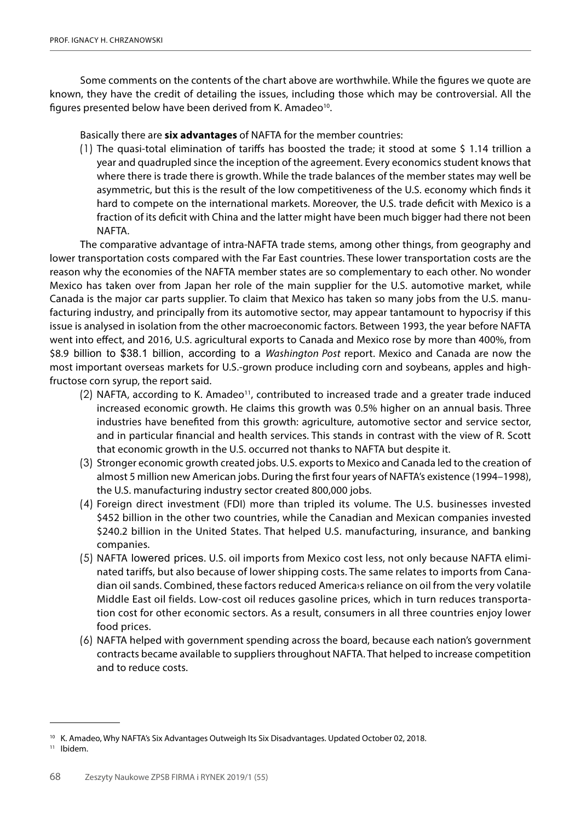Some comments on the contents of the chart above are worthwhile. While the figures we quote are known, they have the credit of detailing the issues, including those which may be controversial. All the figures presented below have been derived from K. Amadeo<sup>10</sup>.

Basically there are **six advantages** of NAFTA for the member countries:

(1) The quasi-total elimination of tariffs has boosted the trade; it stood at some \$ 1.14 trillion a year and quadrupled since the inception of the agreement. Every economics student knows that where there is trade there is growth. While the trade balances of the member states may well be asymmetric, but this is the result of the low competitiveness of the U.S. economy which finds it hard to compete on the international markets. Moreover, the U.S. trade deficit with Mexico is a fraction of its deficit with China and the latter might have been much bigger had there not been NAFTA.

The comparative advantage of intra-NAFTA trade stems, among other things, from geography and lower transportation costs compared with the Far East countries. These lower transportation costs are the reason why the economies of the NAFTA member states are so complementary to each other. No wonder Mexico has taken over from Japan her role of the main supplier for the U.S. automotive market, while Canada is the major car parts supplier. To claim that Mexico has taken so many jobs from the U.S. manufacturing industry, and principally from its automotive sector, may appear tantamount to hypocrisy if this issue is analysed in isolation from the other macroeconomic factors. Between 1993, the year before NAFTA went into effect, and 2016, U.S. agricultural exports to Canada and Mexico rose by more than 400%, from \$8.9 billion to \$38.1 billion, according to a *Washington Post* report. Mexico and Canada are now the most important overseas markets for U.S.-grown produce including corn and soybeans, apples and highfructose corn syrup, the report said.

- (2) NAFTA, according to K. Amadeo<sup>11</sup>, contributed to increased trade and a greater trade induced increased economic growth. He claims this growth was 0.5% higher on an annual basis. Three industries have benefited from this growth: agriculture, automotive sector and service sector, and in particular financial and health services. This stands in contrast with the view of R. Scott that economic growth in the U.S. occurred not thanks to NAFTA but despite it.
- (3) Stronger economic growth created jobs. U.S. exports to Mexico and Canada led to the creation of almost 5 million new American jobs. During the first four years of NAFTA's existence (1994–1998), the U.S. manufacturing industry sector created 800,000 jobs.
- (4) Foreign direct investment (FDI) more than tripled its volume. The U.S. businesses invested \$452 billion in the other two countries, while the Canadian and Mexican companies invested \$240.2 billion in the United States. That helped U.S. manufacturing, insurance, and banking companies.
- (5) NAFTA lowered prices. U.S. oil imports from Mexico cost less, not only because NAFTA eliminated tariffs, but also because of lower shipping costs. The same relates to imports from Canadian oil sands. Combined, these factors reduced America›s reliance on oil from the very volatile Middle East oil fields. Low-cost oil reduces gasoline prices, which in turn reduces transportation cost for other economic sectors. As a result, consumers in all three countries enjoy lower food prices.
- (6) NAFTA helped with government spending across the board, because each nation's government contracts became available to suppliers throughout NAFTA. That helped to increase competition and to reduce costs.

<sup>11</sup> Ibidem.

<sup>&</sup>lt;sup>10</sup> K. Amadeo, Why NAFTA's Six Advantages Outweigh Its Six Disadvantages. Updated October 02, 2018.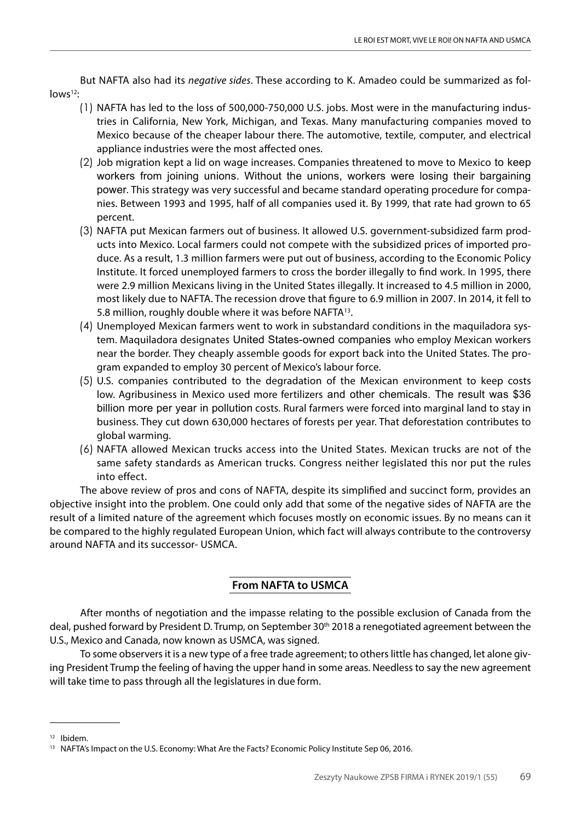But NAFTA also had its *negative sides*. These according to K. Amadeo could be summarized as fol $lows^{12}$ :

- (1) NAFTA has led to the loss of 500,000-750,000 U.S. jobs. Most were in the manufacturing industries in California, New York, Michigan, and Texas. Many manufacturing companies moved to Mexico because of the cheaper labour there. The automotive, textile, computer, and electrical appliance industries were the most affected ones.
- (2) Job migration kept a lid on wage increases. Companies threatened to move to Mexico to keep workers from joining unions. Without the unions, workers were losing their bargaining power. This strategy was very successful and became standard operating procedure for companies. Between 1993 and 1995, half of all companies used it. By 1999, that rate had grown to 65 percent.
- (3) NAFTA put Mexican farmers out of business. It allowed U.S. government-subsidized farm products into Mexico. Local farmers could not compete with the subsidized prices of imported produce. As a result, 1.3 million farmers were put out of business, according to the Economic Policy Institute. It forced unemployed farmers to cross the border illegally to find work. In 1995, there were 2.9 million Mexicans living in the United States illegally. It increased to 4.5 million in 2000, most likely due to NAFTA. The recession drove that figure to 6.9 million in 2007. In 2014, it fell to 5.8 million, roughly double where it was before NAFTA13.
- (4) Unemployed Mexican farmers went to work in substandard conditions in the maquiladora system. Maquiladora designates United States-owned companies who employ Mexican workers near the border. They cheaply assemble goods for export back into the United States. The program expanded to employ 30 percent of Mexico's labour force.
- (5) U.S. companies contributed to the degradation of the Mexican environment to keep costs low. Agribusiness in Mexico used more fertilizers and other chemicals. The result was \$36 billion more per year in pollution costs. Rural farmers were forced into marginal land to stay in business. They cut down 630,000 hectares of forests per year. That deforestation contributes to global warming.
- (6) NAFTA allowed Mexican trucks access into the United States. Mexican trucks are not of the same safety standards as American trucks. Congress neither legislated this nor put the rules into effect.

The above review of pros and cons of NAFTA, despite its simplified and succinct form, provides an objective insight into the problem. One could only add that some of the negative sides of NAFTA are the result of a limited nature of the agreement which focuses mostly on economic issues. By no means can it be compared to the highly regulated European Union, which fact will always contribute to the controversy around NAFTA and its successor- USMCA.

## **From NAFTA to USMCA**

After months of negotiation and the impasse relating to the possible exclusion of Canada from the deal, pushed forward by President D. Trump, on September 30th 2018 a renegotiated agreement between the U.S., Mexico and Canada, now known as USMCA, was signed.

To some observers it is a new type of a free trade agreement; to others little has changed, let alone giving President Trump the feeling of having the upper hand in some areas. Needless to say the new agreement will take time to pass through all the legislatures in due form.

<sup>12</sup> Ibidem.

<sup>&</sup>lt;sup>13</sup> NAFTA's Impact on the U.S. Economy: What Are the Facts? Economic Policy Institute Sep 06, 2016.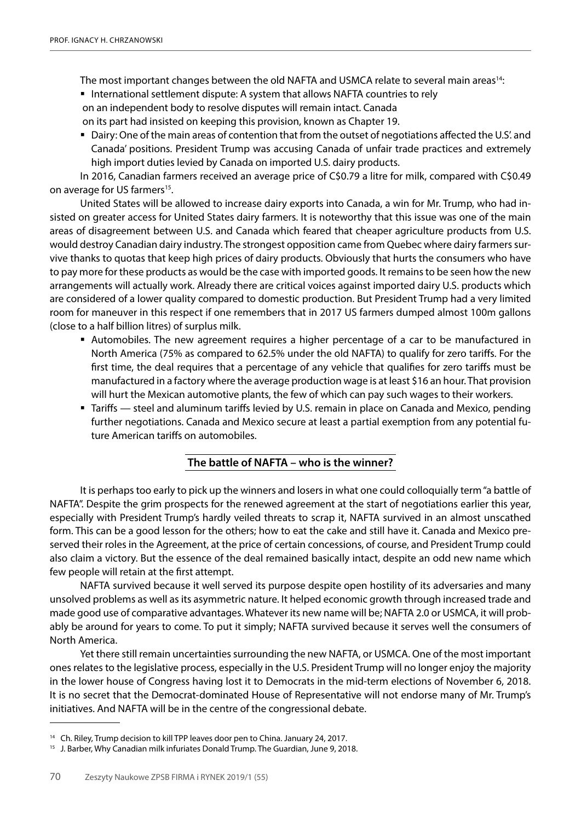The most important changes between the old NAFTA and USMCA relate to several main areas<sup>14</sup>:

- International settlement dispute: A system that allows NAFTA countries to rely on an independent body to resolve disputes will remain intact. Canada on its part had insisted on keeping this provision, known as Chapter 19.
- Dairy: One of the main areas of contention that from the outset of negotiations affected the U.S'. and Canada' positions. President Trump was accusing Canada of unfair trade practices and extremely high import duties levied by Canada on imported U.S. dairy products.

In 2016, Canadian farmers received an average price of C\$0.79 a litre for milk, compared with C\$0.49 on average for US farmers<sup>15</sup>.

United States will be allowed to increase dairy exports into Canada, a win for Mr. Trump, who had insisted on greater access for United States dairy farmers. It is noteworthy that this issue was one of the main areas of disagreement between U.S. and Canada which feared that cheaper agriculture products from U.S. would destroy Canadian dairy industry. The strongest opposition came from Quebec where dairy farmers survive thanks to quotas that keep high prices of dairy products. Obviously that hurts the consumers who have to pay more for these products as would be the case with imported goods. It remains to be seen how the new arrangements will actually work. Already there are critical voices against imported dairy U.S. products which are considered of a lower quality compared to domestic production. But President Trump had a very limited room for maneuver in this respect if one remembers that in 2017 US farmers dumped almost 100m gallons (close to a half billion litres) of surplus milk.

- Automobiles. The new agreement requires a higher percentage of a car to be manufactured in North America (75% as compared to 62.5% under the old NAFTA) to qualify for zero tariffs. For the first time, the deal requires that a percentage of any vehicle that qualifies for zero tariffs must be manufactured in a factory where the average production wage is at least \$16 an hour. That provision will hurt the Mexican automotive plants, the few of which can pay such wages to their workers.
- Tariffs steel and aluminum tariffs levied by U.S. remain in place on Canada and Mexico, pending further negotiations. Canada and Mexico secure at least a partial exemption from any potential future American tariffs on automobiles.

## **The battle of NAFTA – who is the winner?**

It is perhaps too early to pick up the winners and losers in what one could colloquially term "a battle of NAFTA". Despite the grim prospects for the renewed agreement at the start of negotiations earlier this year, especially with President Trump's hardly veiled threats to scrap it, NAFTA survived in an almost unscathed form. This can be a good lesson for the others; how to eat the cake and still have it. Canada and Mexico preserved their roles in the Agreement, at the price of certain concessions, of course, and President Trump could also claim a victory. But the essence of the deal remained basically intact, despite an odd new name which few people will retain at the first attempt.

NAFTA survived because it well served its purpose despite open hostility of its adversaries and many unsolved problems as well as its asymmetric nature. It helped economic growth through increased trade and made good use of comparative advantages. Whatever its new name will be; NAFTA 2.0 or USMCA, it will probably be around for years to come. To put it simply; NAFTA survived because it serves well the consumers of North America.

Yet there still remain uncertainties surrounding the new NAFTA, or USMCA. One of the most important ones relates to the legislative process, especially in the U.S. President Trump will no longer enjoy the majority in the lower house of Congress having lost it to Democrats in the mid-term elections of November 6, 2018. It is no secret that the Democrat-dominated House of Representative will not endorse many of Mr. Trump's initiatives. And NAFTA will be in the centre of the congressional debate.

<sup>&</sup>lt;sup>14</sup> Ch. Riley, Trump decision to kill TPP leaves door pen to China. January 24, 2017.

<sup>&</sup>lt;sup>15</sup> J. Barber, Why Canadian milk infuriates Donald Trump. The Guardian, June 9, 2018.